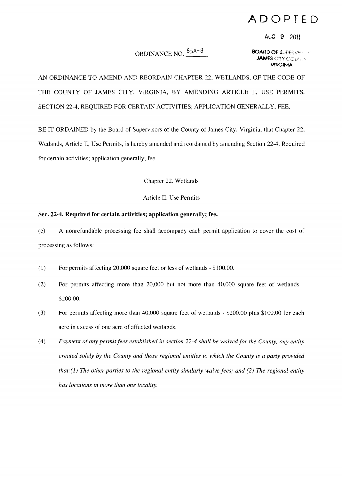## **ADOPTED**

AUG 9 2011

## **ORDINANCE NO.**  $\frac{65A-8}{P}$  **BOARD OF \$**UPERVISHT

*<u>LAMES</u>* CITY COUT. **VIRGINIA** 

AN ORDINANCE TO AMEND AND REORDAIN CHAPTER 22, WETLANDS, OF THE CODE OF THE COUNTY OF JAMES CITY, VIRGINIA, BY AMENDING ARTICLE II, USE PERMITS, SECTION 22-4, REQUIRED FOR CERTAIN ACTIVITIES; APPLICATION GENERALLY; FEE.

BE IT ORDAINED by the Board of Supervisors of the County of James City, Virginia, that Chapter 22, Wetlands, Article II, Use Permits, is hereby amended and reordained by amending Section 22-4, Required for certain activities; application generally; fee.

Chapter 22. Wetlands

## Article II. Use Permits

## **Sec. 22-4. Required for certain activities; application generally; fee.**

(c) A nonrefundable processing fee shall accompany each permit application to cover the cost of processing as follows:

- $(1)$  For permits affecting 20,000 square feet or less of wetlands  $-$  \$100.00.
- (2) For permits affecting more than 20,000 but not more than 40,000 square feet of wetlands -\$200,00.
- (3) For permits affecting more than  $40,000$  square feet of wetlands  $\overline{\phantom{2}}$  = \$200.00 plus \$100.00 for each acre in excess of one acre of affected wetlands,
- *(4) Payment of any permitfees established in section* 22-4 *shall be waived for the County, any entity created solely by the County and those regional entities to which the County is a party provided that:*(1) *The other parties to the regional entity similarly waive fees; and* (2) *The regional entity has locations in more than one locality.*